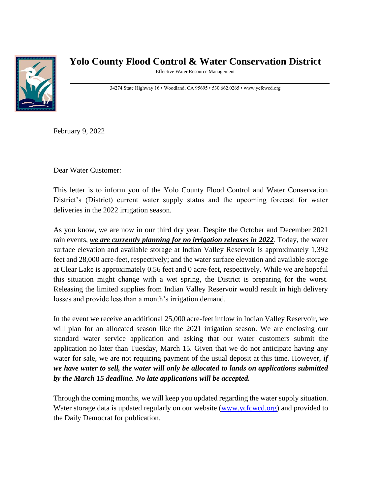

## **Yolo County Flood Control & Water Conservation District**

Effective Water Resource Management

34274 State Highway 16 • Woodland, CA 95695 • 530.662.0265 • www.ycfcwcd.org

February 9, 2022

Dear Water Customer:

This letter is to inform you of the Yolo County Flood Control and Water Conservation District's (District) current water supply status and the upcoming forecast for water deliveries in the 2022 irrigation season.

As you know, we are now in our third dry year. Despite the October and December 2021 rain events, *we are currently planning for no irrigation releases in 2022*. Today, the water surface elevation and available storage at Indian Valley Reservoir is approximately 1,392 feet and 28,000 acre-feet, respectively; and the water surface elevation and available storage at Clear Lake is approximately 0.56 feet and 0 acre-feet, respectively. While we are hopeful this situation might change with a wet spring, the District is preparing for the worst. Releasing the limited supplies from Indian Valley Reservoir would result in high delivery losses and provide less than a month's irrigation demand.

In the event we receive an additional 25,000 acre-feet inflow in Indian Valley Reservoir, we will plan for an allocated season like the 2021 irrigation season. We are enclosing our standard water service application and asking that our water customers submit the application no later than Tuesday, March 15. Given that we do not anticipate having any water for sale, we are not requiring payment of the usual deposit at this time. However, *if we have water to sell, the water will only be allocated to lands on applications submitted by the March 15 deadline. No late applications will be accepted.* 

Through the coming months, we will keep you updated regarding the water supply situation. Water storage data is updated regularly on our website [\(www.ycfcwcd.org\)](http://www.ycfcwcd.org/) and provided to the Daily Democrat for publication.